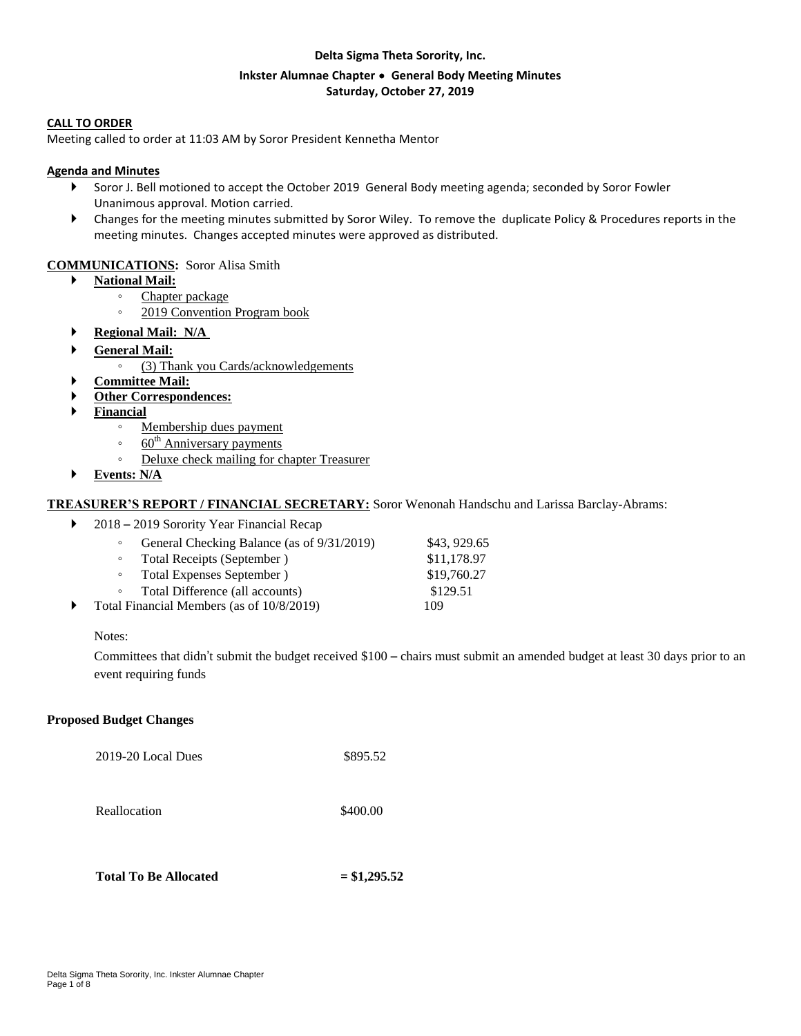## **Delta Sigma Theta Sorority, Inc.**

## **Inkster Alumnae Chapter** ∙ **General Body Meeting Minutes Saturday, October 27, 2019**

#### **CALL TO ORDER**

Meeting called to order at 11:03 AM by Soror President Kennetha Mentor

#### **Agenda and Minutes**

- Soror J. Bell motioned to accept the October 2019 General Body meeting agenda; seconded by Soror Fowler Unanimous approval. Motion carried.
- Changes for the meeting minutes submitted by Soror Wiley. To remove the duplicate Policy & Procedures reports in the meeting minutes. Changes accepted minutes were approved as distributed.

#### **COMMUNICATIONS:** Soror Alisa Smith

- **National Mail:** 
	- Chapter package
		- 2019 Convention Program book
- **Regional Mail: N/A**
- **General Mail:** 
	- (3) Thank you Cards/acknowledgements
- **Committee Mail:**
- **Other Correspondences:**
- **Financial**
	- Membership dues payment
	- $\cdot$  60<sup>th</sup> Anniversary payments
	- Deluxe check mailing for chapter Treasurer
- **Events: N/A**

# **TREASURER'S REPORT / FINANCIAL SECRETARY:** Soror Wenonah Handschu and Larissa Barclay-Abrams:

▶ 2018 – 2019 Sorority Year Financial Recap

| $\circ$ | General Checking Balance (as of 9/31/2019) | \$43, 929.65 |
|---------|--------------------------------------------|--------------|
| $\circ$ | Total Receipts (September)                 | \$11,178.97  |
| $\circ$ | Total Expenses September)                  | \$19,760.27  |
| $\circ$ | Total Difference (all accounts)            | \$129.51     |
|         | Total Financial Members (as of 10/8/2019)  | 109          |

Notes:

Committees that didn't submit the budget received \$100 – chairs must submit an amended budget at least 30 days prior to an event requiring funds

#### **Proposed Budget Changes**

2019-20 Local Dues \$895.52

Reallocation \$400.00

**Total To Be Allocated = \$1,295.52**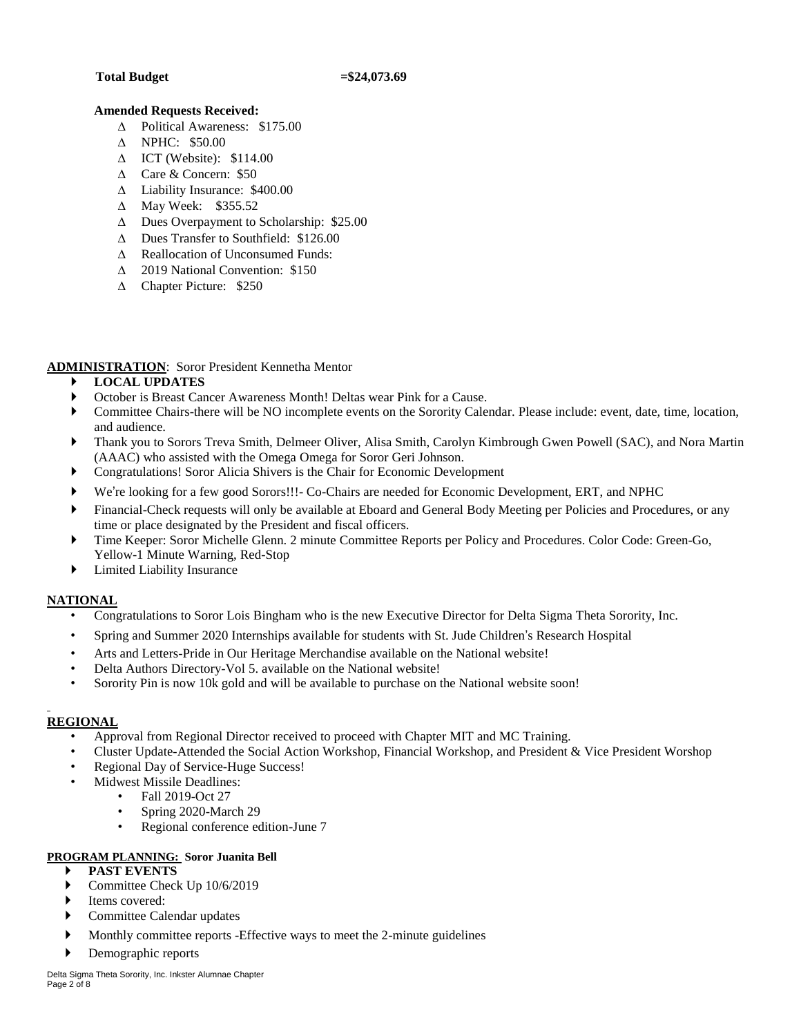#### **Total Budget =\$24,073.69**

#### **Amended Requests Received:**

- Political Awareness: \$175.00
- NPHC: \$50.00
- $\triangle$  ICT (Website): \$114.00
- Care & Concern: \$50
- Liability Insurance: \$400.00
- $\triangle$  May Week: \$355.52
- Dues Overpayment to Scholarship: \$25.00
- Dues Transfer to Southfield: \$126.00
- $\triangle$  Reallocation of Unconsumed Funds:
- 2019 National Convention: \$150
- Chapter Picture: \$250

# **ADMINISTRATION**: Soror President Kennetha Mentor

# **LOCAL UPDATES**

- October is Breast Cancer Awareness Month! Deltas wear Pink for a Cause.
- Committee Chairs-there will be NO incomplete events on the Sorority Calendar. Please include: event, date, time, location, and audience.
- Thank you to Sorors Treva Smith, Delmeer Oliver, Alisa Smith, Carolyn Kimbrough Gwen Powell (SAC), and Nora Martin (AAAC) who assisted with the Omega Omega for Soror Geri Johnson.
- Congratulations! Soror Alicia Shivers is the Chair for Economic Development
- We're looking for a few good Sorors!!!- Co-Chairs are needed for Economic Development, ERT, and NPHC
- Financial-Check requests will only be available at Eboard and General Body Meeting per Policies and Procedures, or any time or place designated by the President and fiscal officers.
- Time Keeper: Soror Michelle Glenn. 2 minute Committee Reports per Policy and Procedures. Color Code: Green-Go, Yellow-1 Minute Warning, Red-Stop
- Limited Liability Insurance

## **NATIONAL**

- Congratulations to Soror Lois Bingham who is the new Executive Director for Delta Sigma Theta Sorority, Inc.
- Spring and Summer 2020 Internships available for students with St. Jude Children's Research Hospital
- Arts and Letters-Pride in Our Heritage Merchandise available on the National website!
- Delta Authors Directory-Vol 5. available on the National website!
- Sorority Pin is now 10k gold and will be available to purchase on the National website soon!

# **REGIONAL**

- Approval from Regional Director received to proceed with Chapter MIT and MC Training.
- Cluster Update-Attended the Social Action Workshop, Financial Workshop, and President & Vice President Worshop
- Regional Day of Service-Huge Success!
	- Midwest Missile Deadlines:
		- Fall 2019-Oct 27
		- Spring 2020-March 29
		- Regional conference edition-June 7

## **PROGRAM PLANNING: Soror Juanita Bell**

- **PAST EVENTS**
- Committee Check Up 10/6/2019
- Items covered:
- Committee Calendar updates
- Monthly committee reports -Effective ways to meet the 2-minute guidelines
- Demographic reports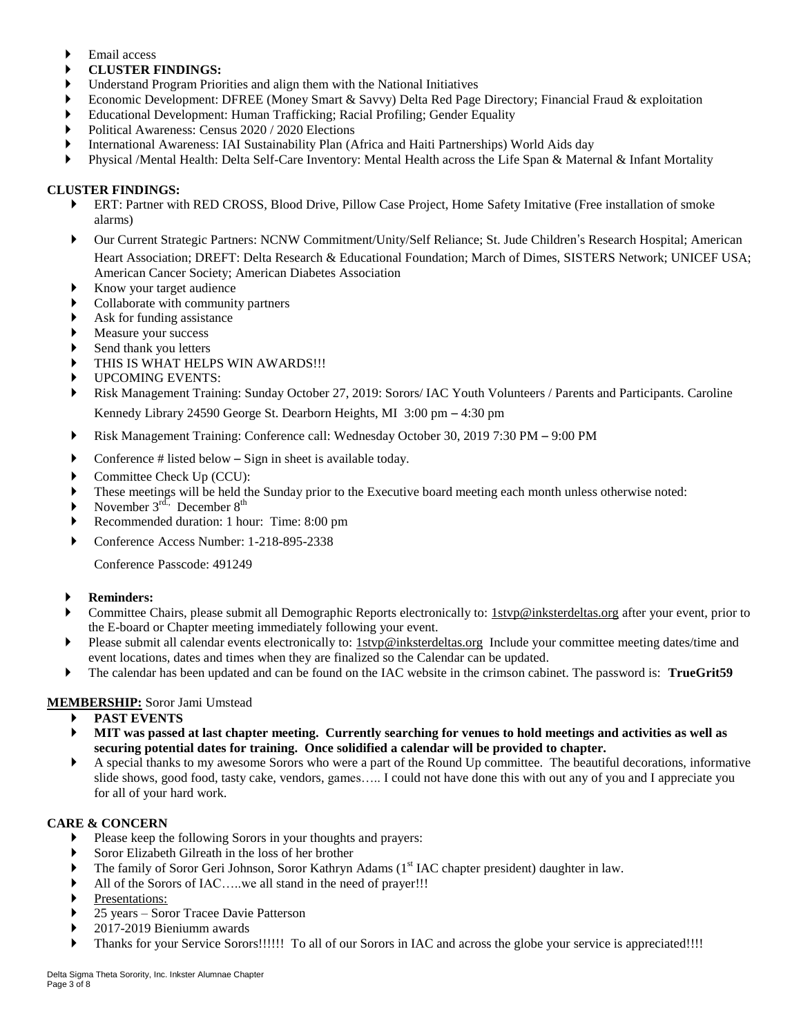- Email access
- **CLUSTER FINDINGS:**
- Understand Program Priorities and align them with the National Initiatives
- Economic Development: DFREE (Money Smart & Savvy) Delta Red Page Directory; Financial Fraud & exploitation
- Educational Development: Human Trafficking; Racial Profiling; Gender Equality
- Political Awareness: Census 2020 / 2020 Elections
- International Awareness: IAI Sustainability Plan (Africa and Haiti Partnerships) World Aids day
- Physical /Mental Health: Delta Self-Care Inventory: Mental Health across the Life Span & Maternal & Infant Mortality

# **CLUSTER FINDINGS:**

- ERT: Partner with RED CROSS, Blood Drive, Pillow Case Project, Home Safety Imitative (Free installation of smoke alarms)
- Our Current Strategic Partners: NCNW Commitment/Unity/Self Reliance; St. Jude Children's Research Hospital; American Heart Association; DREFT: Delta Research & Educational Foundation; March of Dimes, SISTERS Network; UNICEF USA; American Cancer Society; American Diabetes Association
- Know your target audience
- Collaborate with community partners
- Ask for funding assistance
- Measure your success
- Send thank you letters
- THIS IS WHAT HELPS WIN AWARDS!!!
- UPCOMING EVENTS:
- Risk Management Training: Sunday October 27, 2019: Sorors/ IAC Youth Volunteers / Parents and Participants. Caroline Kennedy Library 24590 George St. Dearborn Heights, MI 3:00 pm – 4:30 pm
- Risk Management Training: Conference call: Wednesday October 30, 2019 7:30 PM 9:00 PM
- Conference # listed below Sign in sheet is available today.
- Committee Check Up (CCU):
- These meetings will be held the Sunday prior to the Executive board meeting each month unless otherwise noted:
- November  $3<sup>rd</sup>$ , December  $8<sup>th</sup>$
- Recommended duration: 1 hour: Time: 8:00 pm
- Conference Access Number: 1-218-895-2338

Conference Passcode: 491249

## **Reminders:**

- Committee Chairs, please submit all Demographic Reports electronically to: [1stvp@inksterdeltas.org](mailto:1stvp@inksterdeltas.org) after your event, prior to the E-board or Chapter meeting immediately following your event.
- Please submit all calendar events electronically to: [1stvp@inksterdeltas.org](mailto:1stvp@inksterdeltas.org) Include your committee meeting dates/time and event locations, dates and times when they are finalized so the Calendar can be updated.
- The calendar has been updated and can be found on the IAC website in the crimson cabinet. The password is: **TrueGrit59**

# **MEMBERSHIP:** Soror Jami Umstead

- **PAST EVENTS**
- MIT was passed at last chapter meeting. Currently searching for venues to hold meetings and activities as well as **securing potential dates for training. Once solidified a calendar will be provided to chapter.**
- A special thanks to my awesome Sorors who were a part of the Round Up committee. The beautiful decorations, informative slide shows, good food, tasty cake, vendors, games….. I could not have done this with out any of you and I appreciate you for all of your hard work.

# **CARE & CONCERN**

- Please keep the following Sorors in your thoughts and prayers:
- Soror Elizabeth Gilreath in the loss of her brother
- The family of Soror Geri Johnson, Soror Kathryn Adams (1<sup>st</sup> IAC chapter president) daughter in law.
- All of the Sorors of IAC.....we all stand in the need of prayer!!!
- Presentations:
- 25 years Soror Tracee Davie Patterson
- 2017-2019 Bieniumm awards
- Thanks for your Service Sorors!!!!!! To all of our Sorors in IAC and across the globe your service is appreciated!!!!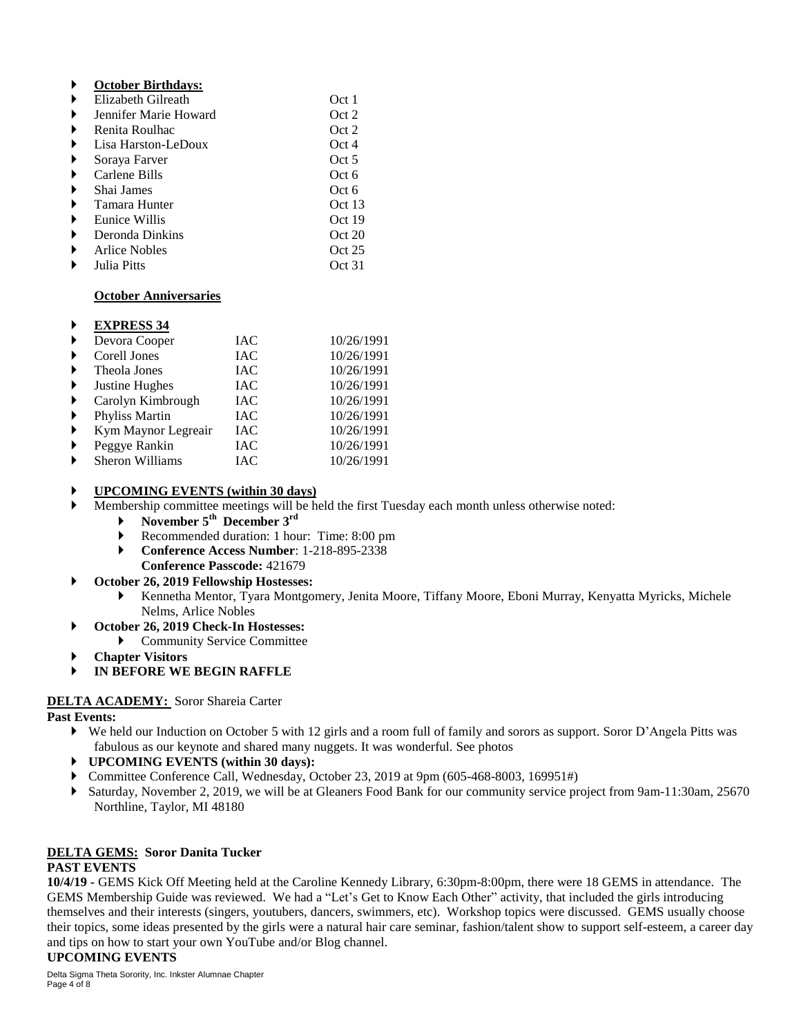|   | <b>October Birthdays:</b> |        |
|---|---------------------------|--------|
|   | Elizabeth Gilreath        | Oct 1  |
| ▶ | Jennifer Marie Howard     | Oct 2  |
|   | Renita Roulhac            | Oct 2  |
| ▶ | Lisa Harston-LeDoux       | Oct 4  |
| ▶ | Soraya Farver             | Oct 5  |
|   | Carlene Bills             | Oct 6  |
|   | Shai James                | Oct 6  |
|   | Tamara Hunter             | Oct 13 |
|   | Eunice Willis             | Oct 19 |
|   | Deronda Dinkins           | Oct 20 |
|   | Arlice Nobles             | Oct 25 |
|   | Julia Pitts               | Oct 31 |

## **October Anniversaries**

#### **EXPRESS 34**

| Devora Cooper       | IAC        | 10/26/1991 |
|---------------------|------------|------------|
| Corell Jones        | IAC        | 10/26/1991 |
| Theola Jones        | <b>IAC</b> | 10/26/1991 |
| Justine Hughes      | IAC        | 10/26/1991 |
| Carolyn Kimbrough   | <b>IAC</b> | 10/26/1991 |
| Phyliss Martin      | <b>IAC</b> | 10/26/1991 |
| Kym Maynor Legreair | <b>IAC</b> | 10/26/1991 |
| Peggye Rankin       | <b>IAC</b> | 10/26/1991 |
| Sheron Williams     | <b>IAC</b> | 10/26/1991 |
|                     |            |            |

#### **UPCOMING EVENTS (within 30 days)**

- Membership committee meetings will be held the first Tuesday each month unless otherwise noted:
	- **November 5 th December 3 rd**
	- Recommended duration: 1 hour: Time: 8:00 pm
	- **Conference Access Number**: 1-218-895-2338
	- **Conference Passcode:** 421679
- **October 26, 2019 Fellowship Hostesses:** 
	- Kennetha Mentor, Tyara Montgomery, Jenita Moore, Tiffany Moore, Eboni Murray, Kenyatta Myricks, Michele Nelms, Arlice Nobles
- **October 26, 2019 Check-In Hostesses:**
	- Community Service Committee
- **Chapter Visitors**
- **IN BEFORE WE BEGIN RAFFLE**

## **DELTA ACADEMY:** Soror Shareia Carter

#### **Past Events:**

- We held our Induction on October 5 with 12 girls and a room full of family and sorors as support. Soror D'Angela Pitts was fabulous as our keynote and shared many nuggets. It was wonderful. See photos
- **UPCOMING EVENTS (within 30 days):**
- Committee Conference Call, Wednesday, October 23, 2019 at 9pm (605-468-8003, 169951#)
- Saturday, November 2, 2019, we will be at Gleaners Food Bank for our community service project from 9am-11:30am, 25670 Northline, Taylor, MI 48180

## **DELTA GEMS: Soror Danita Tucker**

#### **PAST EVENTS**

**10/4/19 -** GEMS Kick Off Meeting held at the Caroline Kennedy Library, 6:30pm-8:00pm, there were 18 GEMS in attendance. The GEMS Membership Guide was reviewed. We had a "Let's Get to Know Each Other" activity, that included the girls introducing themselves and their interests (singers, youtubers, dancers, swimmers, etc). Workshop topics were discussed. GEMS usually choose their topics, some ideas presented by the girls were a natural hair care seminar, fashion/talent show to support self-esteem, a career day and tips on how to start your own YouTube and/or Blog channel.

## **UPCOMING EVENTS**

Delta Sigma Theta Sorority, Inc. Inkster Alumnae Chapter Page 4 of 8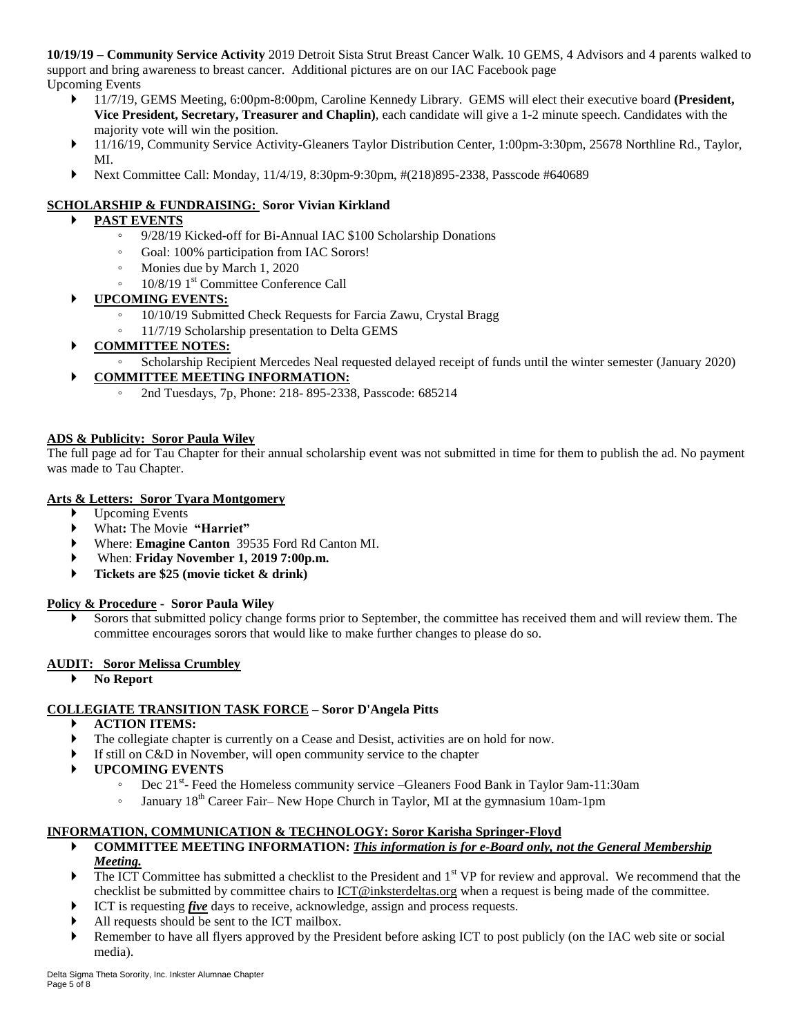**10/19/19 – Community Service Activity** 2019 Detroit Sista Strut Breast Cancer Walk. 10 GEMS, 4 Advisors and 4 parents walked to support and bring awareness to breast cancer. Additional pictures are on our IAC Facebook page Upcoming Events

- 11/7/19, GEMS Meeting, 6:00pm-8:00pm, Caroline Kennedy Library. GEMS will elect their executive board **(President, Vice President, Secretary, Treasurer and Chaplin)**, each candidate will give a 1-2 minute speech. Candidates with the majority vote will win the position.
- ▶ 11/16/19, Community Service Activity-Gleaners Taylor Distribution Center, 1:00pm-3:30pm, 25678 Northline Rd., Taylor, MI.
- Next Committee Call: Monday, 11/4/19, 8:30pm-9:30pm, #(218)895-2338, Passcode #640689

# **SCHOLARSHIP & FUNDRAISING: Soror Vivian Kirkland**

- **PAST EVENTS**
	- 9/28/19 Kicked-off for Bi-Annual IAC \$100 Scholarship Donations
	- Goal: 100% participation from IAC Sorors!
	- Monies due by March 1, 2020
	- ∘ 10/8/19 1<sup>st</sup> Committee Conference Call
- **UPCOMING EVENTS:**
	- 10/10/19 Submitted Check Requests for Farcia Zawu, Crystal Bragg
	- 11/7/19 Scholarship presentation to Delta GEMS
- **COMMITTEE NOTES:**
- Scholarship Recipient Mercedes Neal requested delayed receipt of funds until the winter semester (January 2020)

# **COMMITTEE MEETING INFORMATION:**

◦ 2nd Tuesdays, 7p, Phone: 218- 895-2338, Passcode: 685214

# **ADS & Publicity: Soror Paula Wiley**

The full page ad for Tau Chapter for their annual scholarship event was not submitted in time for them to publish the ad. No payment was made to Tau Chapter.

## **Arts & Letters: Soror Tyara Montgomery**

- Upcoming Events
- What**:** The Movie **"Harriet"**
- Where: **Emagine Canton** 39535 Ford Rd Canton MI.
- When: **Friday November 1, 2019 7:00p.m.**
- **Tickets are \$25 (movie ticket & drink)**

## **Policy & Procedure - Soror Paula Wiley**

 Sorors that submitted policy change forms prior to September, the committee has received them and will review them. The committee encourages sorors that would like to make further changes to please do so.

## **AUDIT: Soror Melissa Crumbley**

**No Report**

# **COLLEGIATE TRANSITION TASK FORCE – Soror D'Angela Pitts**

- **ACTION ITEMS:**
- The collegiate chapter is currently on a Cease and Desist, activities are on hold for now.
- If still on C&D in November, will open community service to the chapter
- **UPCOMING EVENTS**
	- ° Dec 21<sup>st</sup>- Feed the Homeless community service –Gleaners Food Bank in Taylor 9am-11:30am
	- January  $18<sup>th</sup>$  Career Fair– New Hope Church in Taylor, MI at the gymnasium 10am-1pm

## **INFORMATION, COMMUNICATION & TECHNOLOGY: Soror Karisha Springer-Floyd**

- **COMMITTEE MEETING INFORMATION:** *This information is for e-Board only, not the General Membership Meeting.*
	- $\blacktriangleright$  The ICT Committee has submitted a checklist to the President and  $1<sup>st</sup> VP$  for review and approval. We recommend that the checklist be submitted by committee chairs to **[ICT@inksterdeltas.org](mailto:ICT@inksterdeltas.org)** when a request is being made of the committee.
- ICT is requesting *five* days to receive, acknowledge, assign and process requests.
- All requests should be sent to the ICT mailbox.
- Remember to have all flyers approved by the President before asking ICT to post publicly (on the IAC web site or social media).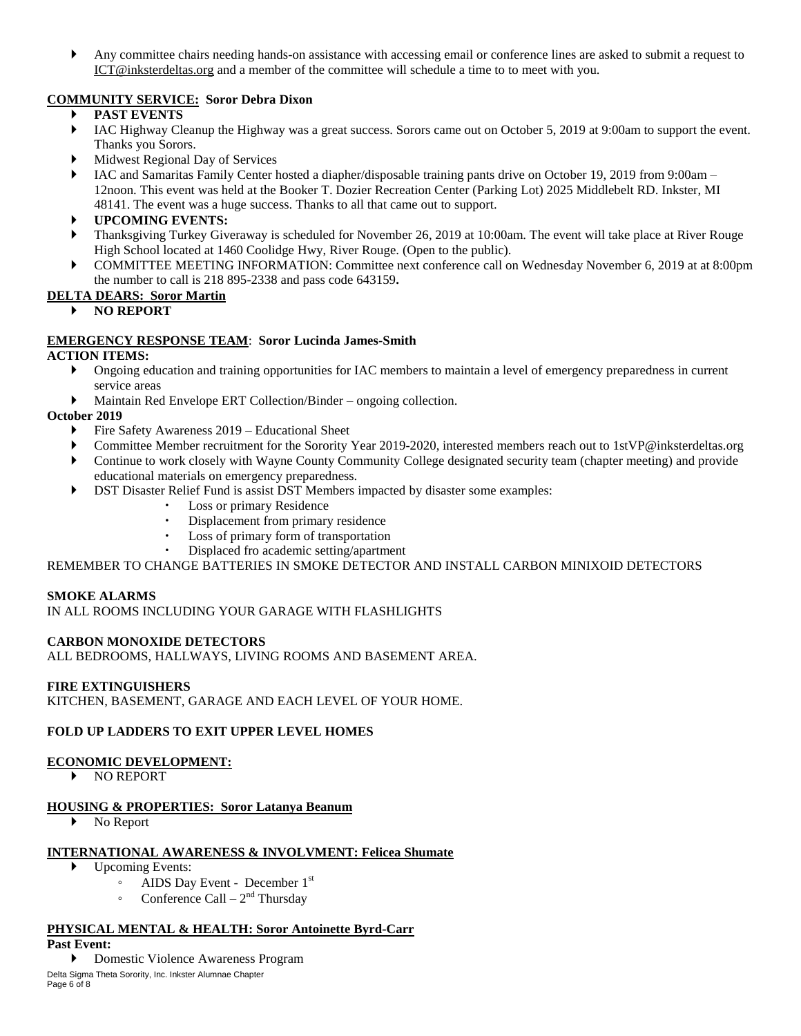Any committee chairs needing hands-on assistance with accessing email or conference lines are asked to submit a request to [ICT@inksterdeltas.org](mailto:ICT@inksterdeltas.org) and a member of the committee will schedule a time to to meet with you.

# **COMMUNITY SERVICE: Soror Debra Dixon**

- **PAST EVENTS**
- IAC Highway Cleanup the Highway was a great success. Sorors came out on October 5, 2019 at 9:00am to support the event. Thanks you Sorors.
- Midwest Regional Day of Services
- IAC and Samaritas Family Center hosted a diapher/disposable training pants drive on October 19, 2019 from 9:00am 12noon. This event was held at the Booker T. Dozier Recreation Center (Parking Lot) 2025 Middlebelt RD. Inkster, MI 48141. The event was a huge success. Thanks to all that came out to support.
- **UPCOMING EVENTS:**
- Thanksgiving Turkey Giveraway is scheduled for November 26, 2019 at 10:00am. The event will take place at River Rouge High School located at 1460 Coolidge Hwy, River Rouge. (Open to the public).
- COMMITTEE MEETING INFORMATION: Committee next conference call on Wednesday November 6, 2019 at at 8:00pm the number to call is 218 895-2338 and pass code 643159**.**

# **DELTA DEARS: Soror Martin**

**NO REPORT**

# **EMERGENCY RESPONSE TEAM**: **Soror Lucinda James-Smith**

## **ACTION ITEMS:**

- Ongoing education and training opportunities for IAC members to maintain a level of emergency preparedness in current service areas
- Maintain Red Envelope ERT Collection/Binder ongoing collection.

# **October 2019**

- Fire Safety Awareness 2019 Educational Sheet
- Committee Member recruitment for the Sorority Year 2019-2020, interested members reach out to 1stVP@inksterdeltas.org
- Continue to work closely with Wayne County Community College designated security team (chapter meeting) and provide educational materials on emergency preparedness.
- DST Disaster Relief Fund is assist DST Members impacted by disaster some examples:
	- Loss or primary Residence
	- Displacement from primary residence
	- Loss of primary form of transportation
	- Displaced fro academic setting/apartment

REMEMBER TO CHANGE BATTERIES IN SMOKE DETECTOR AND INSTALL CARBON MINIXOID DETECTORS

## **SMOKE ALARMS**

IN ALL ROOMS INCLUDING YOUR GARAGE WITH FLASHLIGHTS

## **CARBON MONOXIDE DETECTORS**

ALL BEDROOMS, HALLWAYS, LIVING ROOMS AND BASEMENT AREA.

## **FIRE EXTINGUISHERS**

KITCHEN, BASEMENT, GARAGE AND EACH LEVEL OF YOUR HOME.

## **FOLD UP LADDERS TO EXIT UPPER LEVEL HOMES**

## **ECONOMIC DEVELOPMENT:**

NO REPORT

## **HOUSING & PROPERTIES: Soror Latanya Beanum**

No Report

## **INTERNATIONAL AWARENESS & INVOLVMENT: Felicea Shumate**

- Upcoming Events:
	- ∘ AIDS Day Event December 1<sup>st</sup>
	- Conference Call  $2<sup>nd</sup>$  Thursday

# **PHYSICAL MENTAL & HEALTH: Soror Antoinette Byrd-Carr**

**Past Event:**

Delta Sigma Theta Sorority, Inc. Inkster Alumnae Chapter ▶ Domestic Violence Awareness Program

Page 6 of 8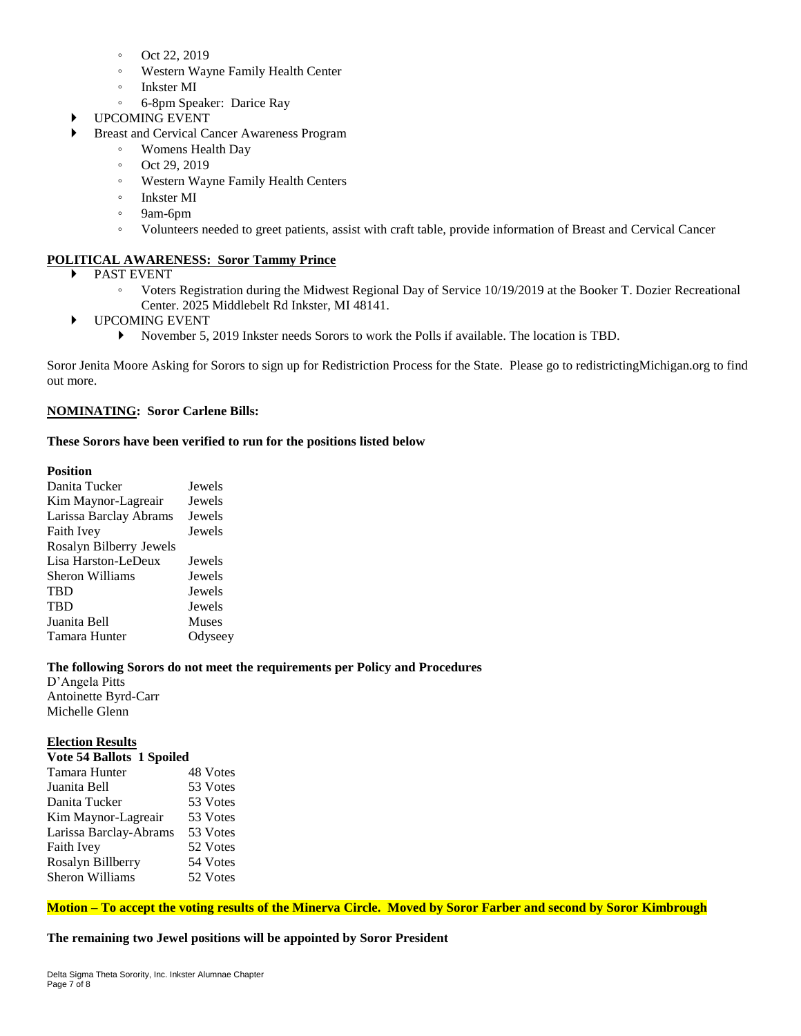- Oct 22, 2019
- Western Wayne Family Health Center
- Inkster MI
- 6-8pm Speaker: Darice Ray
- UPCOMING EVENT
- Breast and Cervical Cancer Awareness Program
	- Womens Health Day
	- Oct 29, 2019
	- Western Wayne Family Health Centers
	- Inkster MI
	- 9am-6pm
	- Volunteers needed to greet patients, assist with craft table, provide information of Breast and Cervical Cancer

#### **POLITICAL AWARENESS: Soror Tammy Prince**

- PAST EVENT
	- Voters Registration during the Midwest Regional Day of Service 10/19/2019 at the Booker T. Dozier Recreational Center. 2025 Middlebelt Rd Inkster, MI 48141.
- UPCOMING EVENT
	- November 5, 2019 Inkster needs Sorors to work the Polls if available. The location is TBD.

Soror Jenita Moore Asking for Sorors to sign up for Redistriction Process for the State. Please go to redistrictingMichigan.org to find out more.

#### **NOMINATING: Soror Carlene Bills:**

#### **These Sorors have been verified to run for the positions listed below**

#### **Position**

| Danita Tucker           | Jewels       |  |  |
|-------------------------|--------------|--|--|
| Kim Maynor-Lagreair     | Jewels       |  |  |
| Larissa Barclay Abrams  | Jewels       |  |  |
| Faith Ivey              | Jewels       |  |  |
| Rosalyn Bilberry Jewels |              |  |  |
| Lisa Harston-LeDeux     | Jewels       |  |  |
| Sheron Williams         | Jewels       |  |  |
| TBD                     | Jewels       |  |  |
| TBD                     | Jewels       |  |  |
| Juanita Bell            | <b>Muses</b> |  |  |
| Tamara Hunter           | Odyseey      |  |  |

#### **The following Sorors do not meet the requirements per Policy and Procedures**

D'Angela Pitts Antoinette Byrd-Carr Michelle Glenn

#### **Election Results**

| Vote 54 Ballots 1 Spoiled |  |          |  |  |
|---------------------------|--|----------|--|--|
| Tamara Hunter             |  | 48 Votes |  |  |
| Juanita Bell              |  | 53 Votes |  |  |
| Danita Tucker             |  | 53 Votes |  |  |
| Kim Maynor-Lagreair       |  | 53 Votes |  |  |
| Larissa Barclay-Abrams    |  | 53 Votes |  |  |
| Faith Ivey                |  | 52 Votes |  |  |
| Rosalyn Billberry         |  | 54 Votes |  |  |
| Sheron Williams           |  | 52 Votes |  |  |
|                           |  |          |  |  |

#### Motion – To accept the voting results of the Minerva Circle. Moved by Soror Farber and second by Soror Kimbrough

**The remaining two Jewel positions will be appointed by Soror President**